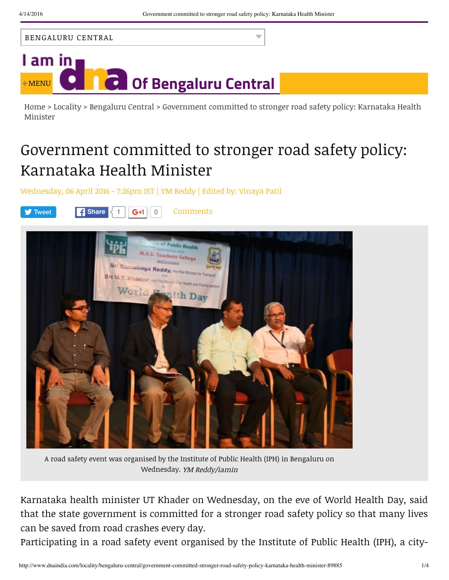



Home > Locality > Bengaluru Central > Government committed to stronger road safety policy: Karnataka Health Minister

## Government committed to stronger road safety policy: Karnataka Health Minister

Wednesday, 06 April 2016 - 7:26pm IST | YM Reddy | Edited by: Vinaya Patil



A road safety event was organised by the Institute of Public Health (IPH) in Bengaluru on Wednesday. YM Reddy/iamin

Karnataka health minister UT Khader on Wednesday, on the eve of World Health Day, said that the state government is committed for a stronger road safety policy so that many lives can be saved from road crashes every day.

Participating in a road safety event organised by the Institute of Public Health (IPH), a city-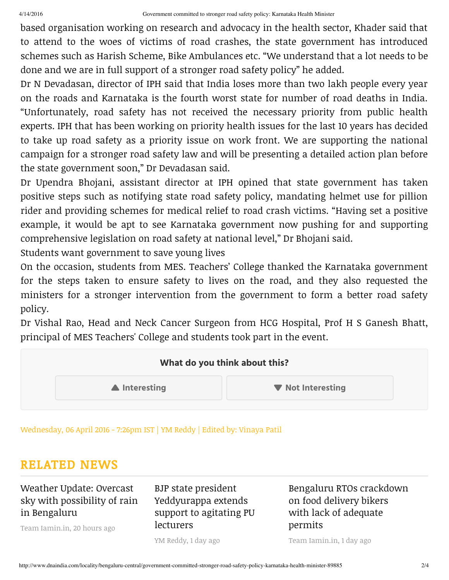based organisation working on research and advocacy in the health sector, Khader said that to attend to the woes of victims of road crashes, the state government has introduced schemes such as Harish Scheme, Bike Ambulances etc. "We understand that a lot needs to be done and we are in full support of a stronger road safety policy" he added.

Dr N Devadasan, director of IPH said that India loses more than two lakh people every year on the roads and Karnataka is the fourth worst state for number of road deaths in India. "Unfortunately, road safety has not received the necessary priority from public health experts. IPH that has been working on priority health issues for the last 10 years has decided to take up road safety as a priority issue on work front. We are supporting the national campaign for a stronger road safety law and will be presenting a detailed action plan before the state government soon," Dr Devadasan said.

Dr Upendra Bhojani, assistant director at IPH opined that state government has taken positive steps such as notifying state road safety policy, mandating helmet use for pillion rider and providing schemes for medical relief to road crash victims. "Having set a positive example, it would be apt to see Karnataka government now pushing for and supporting comprehensive legislation on road safety at national level," Dr Bhojani said.

Students want government to save young lives

On the occasion, students from MES. Teachers' College thanked the Karnataka government for the steps taken to ensure safety to lives on the road, and they also requested the ministers for a stronger intervention from the government to form a better road safety policy.

Dr Vishal Rao, Head and Neck Cancer Surgeon from HCG Hospital, Prof H S Ganesh Bhatt, principal of MES Teachers' College and students took part in the event.



Wednesday, 06 April 2016 - 7:26pm IST | YM Reddy | Edited by: Vinaya Patil

## RELATED NEWS

Weather Update: Overcast sky with possibility of rain in Bengaluru

Team Iamin.in, 20 hours ago

BJP state president Yeddyurappa extends support to agitating PU lecturers

YM Reddy, 1 day ago

Bengaluru RTOs crackdown on food delivery bikers with lack of adequate permits

Team Iamin.in, 1 day ago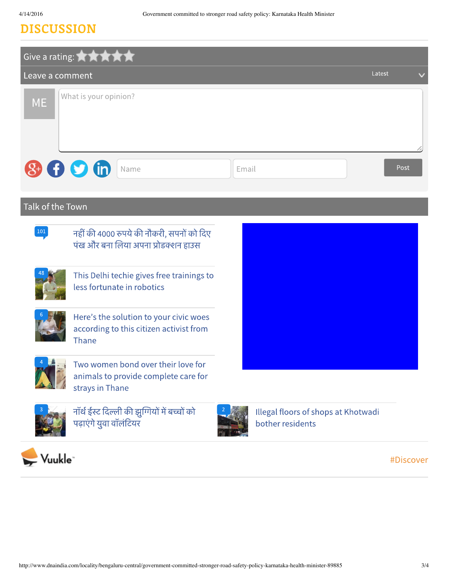## DISCUSSION